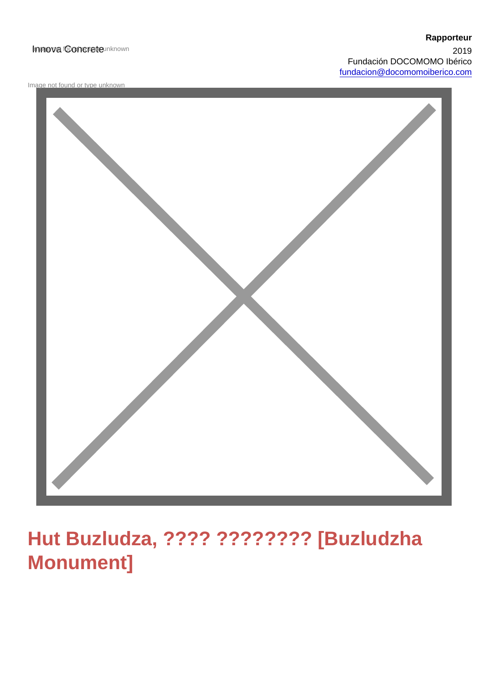#### Innova fooncrete unknown

Image not found or type unknown



# Hut Buzludza, ???? ???????? [Buzludzha Monument]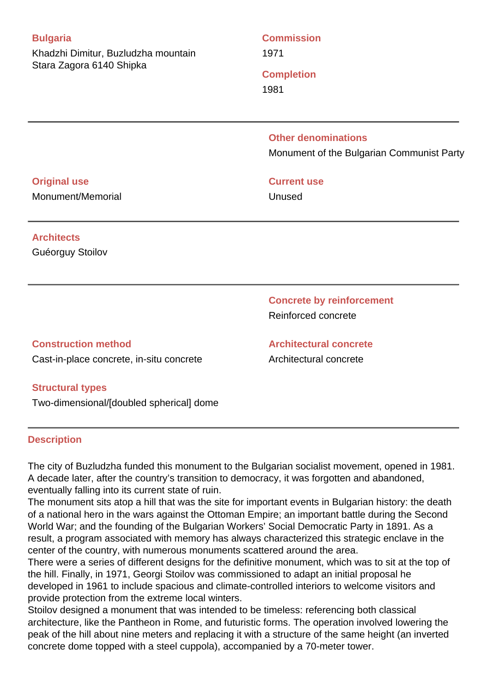#### **Bulgaria**

Khadzhi Dimitur, Buzludzha mountain Stara Zagora 6140 Shipka

## **Commission** 1971

**Completion**

1981

#### **Other denominations**

Monument of the Bulgarian Communist Party

#### **Original use**

Monument/Memorial

# **Current use**

Unused

## **Architects**

Guéorguy Stoilov

**Concrete by reinforcement** Reinforced concrete

**Construction method** Cast-in-place concrete, in-situ concrete

**Structural types** Two-dimensional/[doubled spherical] dome

### **Description**

The city of Buzludzha funded this monument to the Bulgarian socialist movement, opened in 1981. A decade later, after the country's transition to democracy, it was forgotten and abandoned, eventually falling into its current state of ruin.

The monument sits atop a hill that was the site for important events in Bulgarian history: the death of a national hero in the wars against the Ottoman Empire; an important battle during the Second World War; and the founding of the Bulgarian Workers' Social Democratic Party in 1891. As a result, a program associated with memory has always characterized this strategic enclave in the center of the country, with numerous monuments scattered around the area.

There were a series of different designs for the definitive monument, which was to sit at the top of the hill. Finally, in 1971, Georgi Stoilov was commissioned to adapt an initial proposal he developed in 1961 to include spacious and climate-controlled interiors to welcome visitors and provide protection from the extreme local winters.

Stoilov designed a monument that was intended to be timeless: referencing both classical architecture, like the Pantheon in Rome, and futuristic forms. The operation involved lowering the peak of the hill about nine meters and replacing it with a structure of the same height (an inverted concrete dome topped with a steel cuppola), accompanied by a 70-meter tower.

**Architectural concrete** Architectural concrete